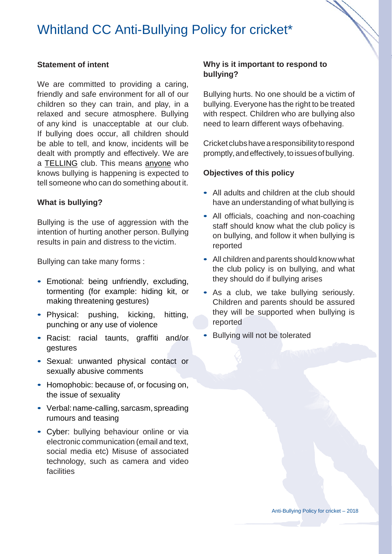# Whitland CC Anti-Bullying Policy for cricket\*

### **Statement of intent**

We are committed to providing a caring, friendly and safe environment for all of our children so they can train, and play, in a relaxed and secure atmosphere. Bullying of any kind is unacceptable at our club. If bullying does occur, all children should be able to tell, and know, incidents will be dealt with promptly and effectively. We are a TELLING club. This means anyone who knows bullying is happening is expected to tell someone who can do something about it.

#### **What is bullying?**

Bullying is the use of aggression with the intention of hurting another person. Bullying results in pain and distress to the victim.

Bullying can take many forms :

- Emotional: being unfriendly, excluding, tormenting (for example: hiding kit, or making threatening gestures)
- Physical: pushing, kicking, hitting, punching or any use of violence
- Racist: racial taunts, graffiti and/or gestures
- Sexual: unwanted physical contact or sexually abusive comments
- Homophobic: because of, or focusing on, the issue of sexuality
- Verbal: name-calling, sarcasm, spreading rumours and teasing
- Cyber: bullying behaviour online or via electronic communication (email and text, social media etc) Misuse of associated technology, such as camera and video facilities

## **Why is it important to respond to bullying?**

Bullying hurts. No one should be a victim of bullying. Everyone has the right to be treated with respect. Children who are bullying also need to learn different ways ofbehaving.

Cricketclubshavearesponsibilitytorespond promptly, and effectively, to issues of bullying.

### **Objectives of this policy**

- All adults and children at the club should have an understanding of what bullying is
- All officials, coaching and non-coaching staff should know what the club policy is on bullying, and follow it when bullying is reported
- All children and parents should know what the club policy is on bullying, and what they should do if bullying arises
- As a club, we take bullying seriously. Children and parents should be assured they will be supported when bullying is reported
- Bullying will not be tolerated

Anti-Bullying Policy for cricket – 2018